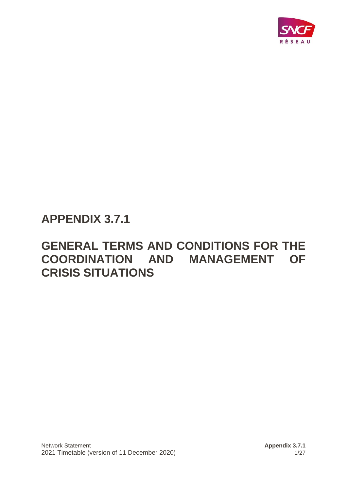

# **APPENDIX 3.7.1**

# **GENERAL TERMS AND CONDITIONS FOR THE COORDINATION AND MANAGEMENT OF CRISIS SITUATIONS**

Network Statement **Appendix 3.7.1** Appendix 3.7.1 2021 Timetable (version of 11 December 2020) 1/27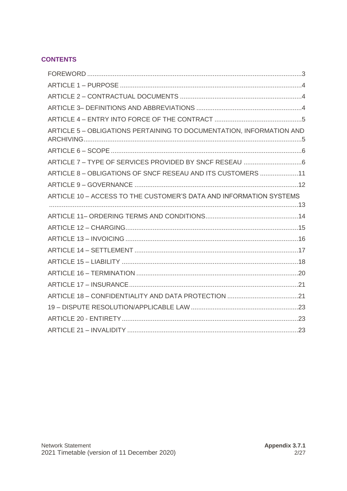## **CONTENTS**

| ARTICLE 5 - OBLIGATIONS PERTAINING TO DOCUMENTATION, INFORMATION AND |  |
|----------------------------------------------------------------------|--|
|                                                                      |  |
|                                                                      |  |
| ARTICLE 8 - OBLIGATIONS OF SNCF RESEAU AND ITS CUSTOMERS 11          |  |
|                                                                      |  |
| ARTICLE 10 - ACCESS TO THE CUSTOMER'S DATA AND INFORMATION SYSTEMS   |  |
|                                                                      |  |
|                                                                      |  |
|                                                                      |  |
|                                                                      |  |
|                                                                      |  |
|                                                                      |  |
|                                                                      |  |
|                                                                      |  |
|                                                                      |  |
|                                                                      |  |
|                                                                      |  |
|                                                                      |  |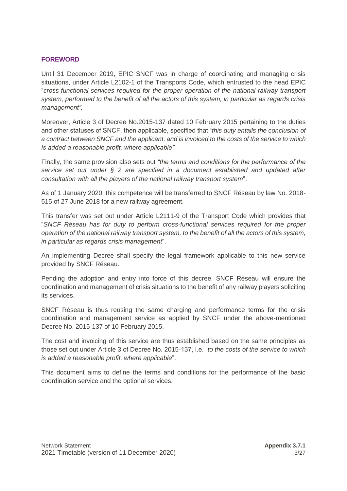#### <span id="page-2-0"></span>**FOREWORD**

Until 31 December 2019, EPIC SNCF was in charge of coordinating and managing crisis situations, under Article L2102-1 of the Transports Code, which entrusted to the head EPIC "*cross-functional services required for the proper operation of the national railway transport system, performed to the benefit of all the actors of this system, in particular as regards crisis management".*

Moreover, Article 3 of Decree No.2015-137 dated 10 February 2015 pertaining to the duties and other statuses of SNCF, then applicable, specified that "*this duty entails the conclusion of a contract between SNCF and the applicant, and is invoiced to the costs of the service to which is added a reasonable profit, where applicable"*.

Finally, the same provision also sets out *"the terms and conditions for the performance of the service set out under § 2 are specified in a document established and updated after consultation with all the players of the national railway transport system*".

As of 1 January 2020, this competence will be transferred to SNCF Réseau by law No. 2018- 515 of 27 June 2018 for a new railway agreement.

This transfer was set out under Article L2111-9 of the Transport Code which provides that "*SNCF Réseau has for duty to perform cross-functional services required for the proper operation of the national railway transport system, to the benefit of all the actors of this system, in particular as regards crisis management*".

An implementing Decree shall specify the legal framework applicable to this new service provided by SNCF Réseau.

Pending the adoption and entry into force of this decree, SNCF Réseau will ensure the coordination and management of crisis situations to the benefit of any railway players soliciting its services.

SNCF Réseau is thus reusing the same charging and performance terms for the crisis coordination and management service as applied by SNCF under the above-mentioned Decree No. 2015-137 of 10 February 2015.

The cost and invoicing of this service are thus established based on the same principles as those set out under Article 3 of Decree No. 2015-137, i.e. "*to the costs of the service to which is added a reasonable profit, where applicable*".

This document aims to define the terms and conditions for the performance of the basic coordination service and the optional services.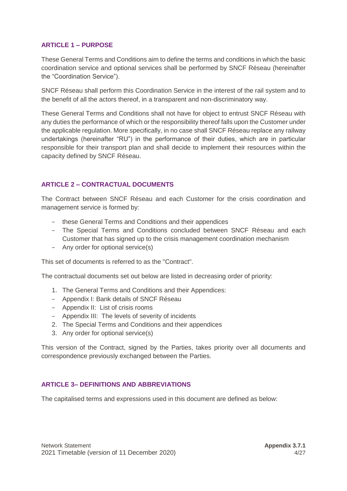## <span id="page-3-0"></span>**ARTICLE 1 – PURPOSE**

These General Terms and Conditions aim to define the terms and conditions in which the basic coordination service and optional services shall be performed by SNCF Réseau (hereinafter the "Coordination Service").

SNCF Réseau shall perform this Coordination Service in the interest of the rail system and to the benefit of all the actors thereof, in a transparent and non-discriminatory way.

These General Terms and Conditions shall not have for object to entrust SNCF Réseau with any duties the performance of which or the responsibility thereof falls upon the Customer under the applicable regulation. More specifically, in no case shall SNCF Réseau replace any railway undertakings (hereinafter "RU") in the performance of their duties, which are in particular responsible for their transport plan and shall decide to implement their resources within the capacity defined by SNCF Réseau.

## <span id="page-3-1"></span>**ARTICLE 2 – CONTRACTUAL DOCUMENTS**

The Contract between SNCF Réseau and each Customer for the crisis coordination and management service is formed by:

- − these General Terms and Conditions and their appendices
- − The Special Terms and Conditions concluded between SNCF Réseau and each Customer that has signed up to the crisis management coordination mechanism
- − Any order for optional service(s)

This set of documents is referred to as the "Contract".

The contractual documents set out below are listed in decreasing order of priority:

- 1. The General Terms and Conditions and their Appendices:
- − Appendix I: Bank details of SNCF Réseau
- − Appendix II: List of crisis rooms
- − Appendix III: The levels of severity of incidents
- 2. The Special Terms and Conditions and their appendices
- 3. Any order for optional service(s)

This version of the Contract, signed by the Parties, takes priority over all documents and correspondence previously exchanged between the Parties.

#### <span id="page-3-2"></span>**ARTICLE 3– DEFINITIONS AND ABBREVIATIONS**

The capitalised terms and expressions used in this document are defined as below: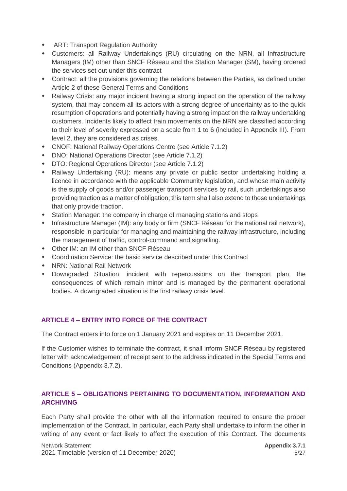- ART: Transport Regulation Authority
- Customers: all Railway Undertakings (RU) circulating on the NRN, all Infrastructure Managers (IM) other than SNCF Réseau and the Station Manager (SM), having ordered the services set out under this contract
- Contract: all the provisions governing the relations between the Parties, as defined under Article 2 of these General Terms and Conditions
- Railway Crisis: any major incident having a strong impact on the operation of the railway system, that may concern all its actors with a strong degree of uncertainty as to the quick resumption of operations and potentially having a strong impact on the railway undertaking customers. Incidents likely to affect train movements on the NRN are classified according to their level of severity expressed on a scale from 1 to 6 (included in Appendix III). From level 2, they are considered as crises.
- CNOF: National Railway Operations Centre (see Article 7.1.2)
- DNO: National Operations Director (see Article 7.1.2)
- DTO: Regional Operations Director (see Article 7.1.2)
- Railway Undertaking (RU): means any private or public sector undertaking holding a licence in accordance with the applicable Community legislation, and whose main activity is the supply of goods and/or passenger transport services by rail, such undertakings also providing traction as a matter of obligation; this term shall also extend to those undertakings that only provide traction.
- Station Manager: the company in charge of managing stations and stops
- Infrastructure Manager (IM): any body or firm (SNCF Réseau for the national rail network), responsible in particular for managing and maintaining the railway infrastructure, including the management of traffic, control-command and signalling.
- Other IM: an IM other than SNCF Réseau
- Coordination Service: the basic service described under this Contract
- NRN: National Rail Network
- Downgraded Situation: incident with repercussions on the transport plan, the consequences of which remain minor and is managed by the permanent operational bodies. A downgraded situation is the first railway crisis level.

## <span id="page-4-0"></span>**ARTICLE 4 – ENTRY INTO FORCE OF THE CONTRACT**

The Contract enters into force on 1 January 2021 and expires on 11 December 2021.

If the Customer wishes to terminate the contract, it shall inform SNCF Réseau by registered letter with acknowledgement of receipt sent to the address indicated in the Special Terms and Conditions (Appendix 3.7.2).

## <span id="page-4-1"></span>**ARTICLE 5 – OBLIGATIONS PERTAINING TO DOCUMENTATION, INFORMATION AND ARCHIVING**

Each Party shall provide the other with all the information required to ensure the proper implementation of the Contract. In particular, each Party shall undertake to inform the other in writing of any event or fact likely to affect the execution of this Contract. The documents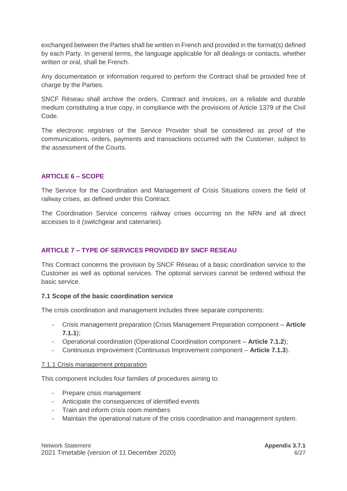exchanged between the Parties shall be written in French and provided in the format(s) defined by each Party. In general terms, the language applicable for all dealings or contacts, whether written or oral, shall be French.

Any documentation or information required to perform the Contract shall be provided free of charge by the Parties.

SNCF Réseau shall archive the orders, Contract and invoices, on a reliable and durable medium constituting a true copy, in compliance with the provisions of Article 1379 of the Civil Code.

The electronic registries of the Service Provider shall be considered as proof of the communications, orders, payments and transactions occurred with the Customer, subject to the assessment of the Courts.

## <span id="page-5-0"></span>**ARTICLE 6 – SCOPE**

The Service for the Coordination and Management of Crisis Situations covers the field of railway crises, as defined under this Contract.

The Coordination Service concerns railway crises occurring on the NRN and all direct accesses to it (switchgear and catenaries).

## <span id="page-5-1"></span>**ARTICLE 7 – TYPE OF SERVICES PROVIDED BY SNCF RESEAU**

This Contract concerns the provision by SNCF Réseau of a basic coordination service to the Customer as well as optional services. The optional services cannot be ordered without the basic service.

## **7.1 Scope of the basic coordination service**

The crisis coordination and management includes three separate components:

- Crisis management preparation (Crisis Management Preparation component **Article 7.1.1**);
- Operational coordination (Operational Coordination component **Article 7.1.2**);
- Continuous improvement (Continuous Improvement component **Article 7.1.3**).

#### 7.1.1 Crisis management preparation

This component includes four families of procedures aiming to:

- Prepare crisis management
- Anticipate the consequences of identified events
- Train and inform crisis room members
- Maintain the operational nature of the crisis coordination and management system.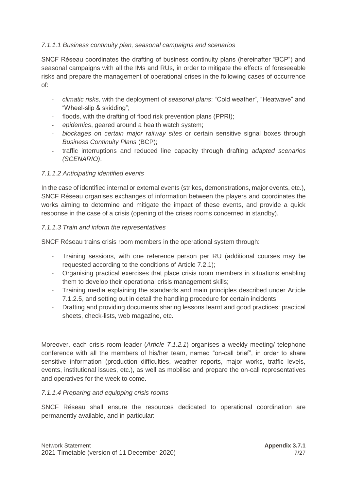## *7.1.1.1 Business continuity plan, seasonal campaigns and scenarios*

SNCF Réseau coordinates the drafting of business continuity plans (hereinafter "BCP") and seasonal campaigns with all the IMs and RUs, in order to mitigate the effects of foreseeable risks and prepare the management of operational crises in the following cases of occurrence of:

- *climatic risks,* with the deployment of *seasonal plans*: "Cold weather", "Heatwave" and "Wheel-slip & skidding";
- floods, with the drafting of flood risk prevention plans (PPRI);
- *epidemics*, geared around a health watch system;
- *blockages on certain major railway sites* or certain sensitive signal boxes through *Business Continuity Plans* (BCP);
- traffic interruptions and reduced line capacity through drafting *adapted scenarios (SCENARIO)*.

## *7.1.1.2 Anticipating identified events*

In the case of identified internal or external events (strikes, demonstrations, major events, etc.), SNCF Réseau organises exchanges of information between the players and coordinates the works aiming to determine and mitigate the impact of these events, and provide a quick response in the case of a crisis (opening of the crises rooms concerned in standby).

#### *7.1.1.3 Train and inform the representatives*

SNCF Réseau trains crisis room members in the operational system through:

- Training sessions, with one reference person per RU (additional courses may be requested according to the conditions of Article 7.2.1);
- Organising practical exercises that place crisis room members in situations enabling them to develop their operational crisis management skills;
- Training media explaining the standards and main principles described under Article 7.1.2.5, and setting out in detail the handling procedure for certain incidents;
- Drafting and providing documents sharing lessons learnt and good practices: practical sheets, check-lists, web magazine, etc.

Moreover, each crisis room leader (*Article 7.1.2.1*) organises a weekly meeting/ telephone conference with all the members of his/her team, named "on-call brief", in order to share sensitive information (production difficulties, weather reports, major works, traffic levels, events, institutional issues, etc.), as well as mobilise and prepare the on-call representatives and operatives for the week to come.

#### *7.1.1.4 Preparing and equipping crisis rooms*

SNCF Réseau shall ensure the resources dedicated to operational coordination are permanently available, and in particular: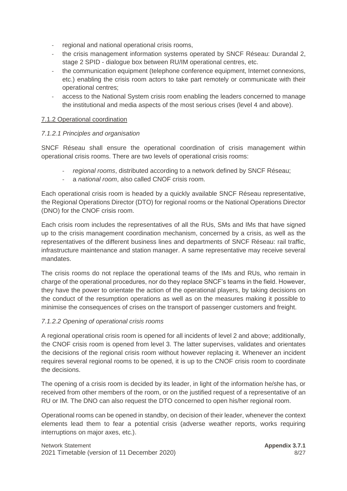- regional and national operational crisis rooms,
- the crisis management information systems operated by SNCF Réseau: Durandal 2, stage 2 SPID - dialogue box between RU/IM operational centres, etc.
- the communication equipment (telephone conference equipment, Internet connexions, etc.) enabling the crisis room actors to take part remotely or communicate with their operational centres;
- access to the National System crisis room enabling the leaders concerned to manage the institutional and media aspects of the most serious crises (level 4 and above).

#### 7.1.2 Operational coordination

#### *7.1.2.1 Principles and organisation*

SNCF Réseau shall ensure the operational coordination of crisis management within operational crisis rooms. There are two levels of operational crisis rooms:

- *regional rooms*, distributed according to a network defined by SNCF Réseau;
- a *national room*, also called CNOF crisis room.

Each operational crisis room is headed by a quickly available SNCF Réseau representative, the Regional Operations Director (DTO) for regional rooms or the National Operations Director (DNO) for the CNOF crisis room.

Each crisis room includes the representatives of all the RUs, SMs and IMs that have signed up to the crisis management coordination mechanism, concerned by a crisis, as well as the representatives of the different business lines and departments of SNCF Réseau: rail traffic, infrastructure maintenance and station manager. A same representative may receive several mandates.

The crisis rooms do not replace the operational teams of the IMs and RUs, who remain in charge of the operational procedures, nor do they replace SNCF's teams in the field. However, they have the power to orientate the action of the operational players, by taking decisions on the conduct of the resumption operations as well as on the measures making it possible to minimise the consequences of crises on the transport of passenger customers and freight.

## *7.1.2.2 Opening of operational crisis rooms*

A regional operational crisis room is opened for all incidents of level 2 and above; additionally, the CNOF crisis room is opened from level 3. The latter supervises, validates and orientates the decisions of the regional crisis room without however replacing it. Whenever an incident requires several regional rooms to be opened, it is up to the CNOF crisis room to coordinate the decisions.

The opening of a crisis room is decided by its leader, in light of the information he/she has, or received from other members of the room, or on the justified request of a representative of an RU or IM. The DNO can also request the DTO concerned to open his/her regional room.

Operational rooms can be opened in standby, on decision of their leader, whenever the context elements lead them to fear a potential crisis (adverse weather reports, works requiring interruptions on major axes, etc.).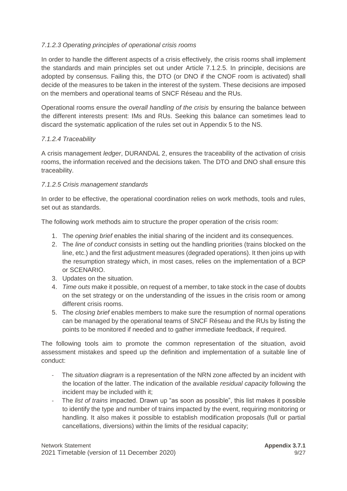## *7.1.2.3 Operating principles of operational crisis rooms*

In order to handle the different aspects of a crisis effectively, the crisis rooms shall implement the standards and main principles set out under Article 7.1.2.5. In principle, decisions are adopted by consensus. Failing this, the DTO (or DNO if the CNOF room is activated) shall decide of the measures to be taken in the interest of the system. These decisions are imposed on the members and operational teams of SNCF Réseau and the RUs.

Operational rooms ensure the *overall handling of the crisis* by ensuring the balance between the different interests present: IMs and RUs. Seeking this balance can sometimes lead to discard the systematic application of the rules set out in Appendix 5 to the NS.

## *7.1.2.4 Traceability*

A crisis management *ledger*, DURANDAL 2, ensures the traceability of the activation of crisis rooms, the information received and the decisions taken. The DTO and DNO shall ensure this traceability.

## *7.1.2.5 Crisis management standards*

In order to be effective, the operational coordination relies on work methods, tools and rules, set out as standards.

The following work methods aim to structure the proper operation of the crisis room:

- 1. The *opening brief* enables the initial sharing of the incident and its consequences.
- 2. The *line of conduct* consists in setting out the handling priorities (trains blocked on the line, etc.) and the first adjustment measures (degraded operations). It then joins up with the resumption strategy which, in most cases, relies on the implementation of a BCP or SCENARIO.
- 3. Updates on the situation.
- 4. *Time outs* make it possible, on request of a member, to take stock in the case of doubts on the set strategy or on the understanding of the issues in the crisis room or among different crisis rooms.
- 5. The *closing brief* enables members to make sure the resumption of normal operations can be managed by the operational teams of SNCF Réseau and the RUs by listing the points to be monitored if needed and to gather immediate feedback, if required.

The following tools aim to promote the common representation of the situation, avoid assessment mistakes and speed up the definition and implementation of a suitable line of conduct:

- The *situation diagram* is a representation of the NRN zone affected by an incident with the location of the latter. The indication of the available *residual capacity* following the incident may be included with it;
- The *list of trains* impacted. Drawn up "as soon as possible", this list makes it possible to identify the type and number of trains impacted by the event, requiring monitoring or handling. It also makes it possible to establish modification proposals (full or partial cancellations, diversions) within the limits of the residual capacity;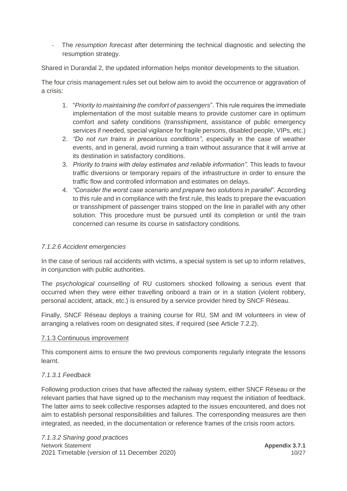- The *resumption forecast* after determining the technical diagnostic and selecting the resumption strategy.

Shared in Durandal 2, the updated information helps monitor developments to the situation.

The four crisis management rules set out below aim to avoid the occurrence or aggravation of a crisis:

- 1. "*Priority to maintaining the comfort of passengers*". This rule requires the immediate implementation of the most suitable means to provide customer care in optimum comfort and safety conditions (transshipment, assistance of public emergency services if needed, special vigilance for fragile persons, disabled people, VIPs, etc.)
- 2. *"Do not run trains in precarious conditions"*, especially in the case of weather events, and in general, avoid running a train without assurance that it will arrive at its destination in satisfactory conditions.
- 3. *Priority to trains with delay estimates and reliable information".* This leads to favour traffic diversions or temporary repairs of the infrastructure in order to ensure the traffic flow and controlled information and estimates on delays.
- 4. *"Consider the worst case scenario and prepare two solutions in parallel*". According to this rule and in compliance with the first rule, this leads to prepare the evacuation or transshipment of passenger trains stopped on the line in parallel with any other solution. This procedure must be pursued until its completion or until the train concerned can resume its course in satisfactory conditions.

## *7.1.2.6 Accident emergencies*

In the case of serious rail accidents with victims, a special system is set up to inform relatives, in conjunction with public authorities.

The *psychological counselling* of RU customers shocked following a serious event that occurred when they were either travelling onboard a train or in a station (violent robbery, personal accident, attack, etc.) is ensured by a service provider hired by SNCF Réseau.

Finally, SNCF Réseau deploys a training course for RU, SM and IM volunteers in view of arranging a relatives room on designated sites, if required (see Article 7.2.2).

## 7.1.3 Continuous improvement

This component aims to ensure the two previous components regularly integrate the lessons learnt.

## *7.1.3.1 Feedback*

Following production crises that have affected the railway system, either SNCF Réseau or the relevant parties that have signed up to the mechanism may request the initiation of feedback. The latter aims to seek collective responses adapted to the issues encountered, and does not aim to establish personal responsibilities and failures. The corresponding measures are then integrated, as needed, in the documentation or reference frames of the crisis room actors.

Network Statement **Appendix 3.7.1 Appendix 3.7.1** 2021 Timetable (version of 11 December 2020) 10/27 *7.1.3.2 Sharing good practices*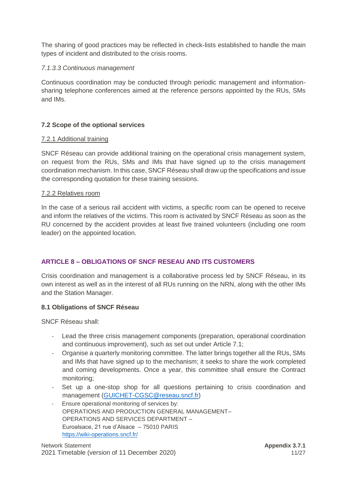The sharing of good practices may be reflected in check-lists established to handle the main types of incident and distributed to the crisis rooms.

## *7.1.3.3 Continuous management*

Continuous coordination may be conducted through periodic management and informationsharing telephone conferences aimed at the reference persons appointed by the RUs, SMs and IMs.

## **7.2 Scope of the optional services**

## 7.2.1 Additional training

SNCF Réseau can provide additional training on the operational crisis management system, on request from the RUs, SMs and IMs that have signed up to the crisis management coordination mechanism. In this case, SNCF Réseau shall draw up the specifications and issue the corresponding quotation for these training sessions.

#### 7.2.2 Relatives room

In the case of a serious rail accident with victims, a specific room can be opened to receive and inform the relatives of the victims. This room is activated by SNCF Réseau as soon as the RU concerned by the accident provides at least five trained volunteers (including one room leader) on the appointed location.

## <span id="page-10-0"></span>**ARTICLE 8 – OBLIGATIONS OF SNCF RESEAU AND ITS CUSTOMERS**

Crisis coordination and management is a collaborative process led by SNCF Réseau, in its own interest as well as in the interest of all RUs running on the NRN, along with the other IMs and the Station Manager.

## **8.1 Obligations of SNCF Réseau**

SNCF Réseau shall:

- Lead the three crisis management components (preparation, operational coordination and continuous improvement), such as set out under Article 7.1;
- Organise a quarterly monitoring committee. The latter brings together all the RUs, SMs and IMs that have signed up to the mechanism; it seeks to share the work completed and coming developments. Once a year, this committee shall ensure the Contract monitoring;
- Set up a one-stop shop for all questions pertaining to crisis coordination and management [\(GUICHET-CGSC@reseau.sncf.fr\)](mailto:GUICHET-CGSC@reseau.sncf.fr)
- Ensure operational monitoring of services by: OPERATIONS AND PRODUCTION GENERAL MANAGEMENT– OPERATIONS AND SERVICES DEPARTMENT – Euroalsace, 21 rue d'Alsace – 75010 PARIS <https://wiki-operations.sncf.fr/>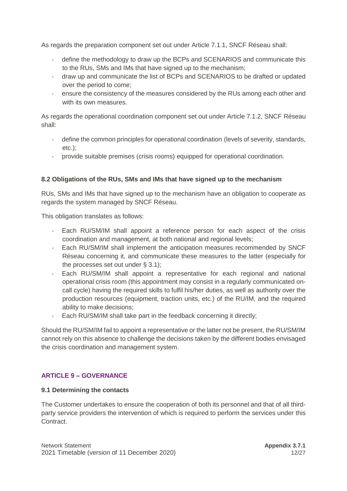As regards the preparation component set out under Article 7.1.1, SNCF Réseau shall:

- define the methodology to draw up the BCPs and SCENARIOS and communicate this to the RUs, SMs and IMs that have signed up to the mechanism;
- draw up and communicate the list of BCPs and SCENARIOS to be drafted or updated over the period to come;
- ensure the consistency of the measures considered by the RUs among each other and with its own measures.

As regards the operational coordination component set out under Article 7.1.2, SNCF Réseau shall:

- define the common principles for operational coordination (levels of severity, standards, etc.);
- provide suitable premises (crisis rooms) equipped for operational coordination.

## **8.2 Obligations of the RUs, SMs and IMs that have signed up to the mechanism**

RUs, SMs and IMs that have signed up to the mechanism have an obligation to cooperate as regards the system managed by SNCF Réseau.

This obligation translates as follows:

- Each RU/SM/IM shall appoint a reference person for each aspect of the crisis coordination and management, at both national and regional levels;
- Each RU/SM/IM shall implement the anticipation measures recommended by SNCF Réseau concerning it, and communicate these measures to the latter (especially for the processes set out under § 3.1);
- Each RU/SM/IM shall appoint a representative for each regional and national operational crisis room (this appointment may consist in a regularly communicated oncall cycle) having the required skills to fulfil his/her duties, as well as authority over the production resources (equipment, traction units, etc.) of the RU/IM, and the required ability to make decisions;
- Each RU/SM/IM shall take part in the feedback concerning it directly;

Should the RU/SM/IM fail to appoint a representative or the latter not be present, the RU/SM/IM cannot rely on this absence to challenge the decisions taken by the different bodies envisaged the crisis coordination and management system.

## <span id="page-11-0"></span>**ARTICLE 9 – GOVERNANCE**

#### **9.1 Determining the contacts**

The Customer undertakes to ensure the cooperation of both its personnel and that of all thirdparty service providers the intervention of which is required to perform the services under this Contract.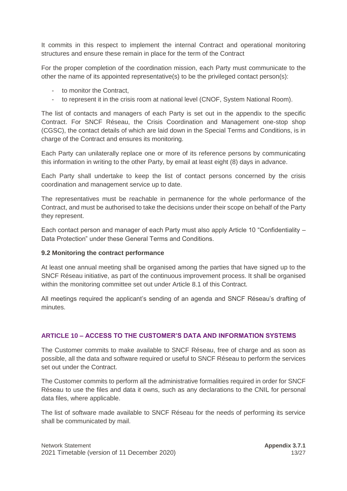It commits in this respect to implement the internal Contract and operational monitoring structures and ensure these remain in place for the term of the Contract

For the proper completion of the coordination mission, each Party must communicate to the other the name of its appointed representative(s) to be the privileged contact person(s):

- to monitor the Contract,
- to represent it in the crisis room at national level (CNOF, System National Room).

The list of contacts and managers of each Party is set out in the appendix to the specific Contract. For SNCF Réseau, the Crisis Coordination and Management one-stop shop (CGSC), the contact details of which are laid down in the Special Terms and Conditions, is in charge of the Contract and ensures its monitoring.

Each Party can unilaterally replace one or more of its reference persons by communicating this information in writing to the other Party, by email at least eight (8) days in advance.

Each Party shall undertake to keep the list of contact persons concerned by the crisis coordination and management service up to date.

The representatives must be reachable in permanence for the whole performance of the Contract, and must be authorised to take the decisions under their scope on behalf of the Party they represent.

Each contact person and manager of each Party must also apply Article 10 "Confidentiality – Data Protection" under these General Terms and Conditions.

#### **9.2 Monitoring the contract performance**

At least one annual meeting shall be organised among the parties that have signed up to the SNCF Réseau initiative, as part of the continuous improvement process. It shall be organised within the monitoring committee set out under Article 8.1 of this Contract.

All meetings required the applicant's sending of an agenda and SNCF Réseau's drafting of minutes.

## <span id="page-12-0"></span>**ARTICLE 10 – ACCESS TO THE CUSTOMER'S DATA AND INFORMATION SYSTEMS**

The Customer commits to make available to SNCF Réseau, free of charge and as soon as possible, all the data and software required or useful to SNCF Réseau to perform the services set out under the Contract.

The Customer commits to perform all the administrative formalities required in order for SNCF Réseau to use the files and data it owns, such as any declarations to the CNIL for personal data files, where applicable.

The list of software made available to SNCF Réseau for the needs of performing its service shall be communicated by mail.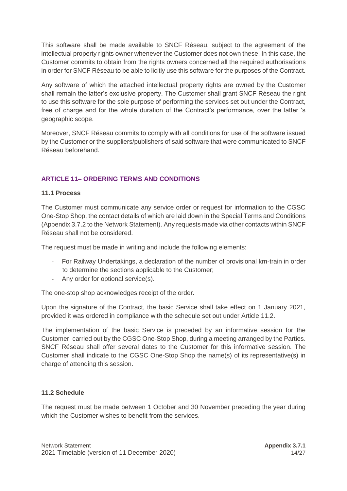This software shall be made available to SNCF Réseau, subject to the agreement of the intellectual property rights owner whenever the Customer does not own these. In this case, the Customer commits to obtain from the rights owners concerned all the required authorisations in order for SNCF Réseau to be able to licitly use this software for the purposes of the Contract.

Any software of which the attached intellectual property rights are owned by the Customer shall remain the latter's exclusive property. The Customer shall grant SNCF Réseau the right to use this software for the sole purpose of performing the services set out under the Contract, free of charge and for the whole duration of the Contract's performance, over the latter 's geographic scope.

Moreover, SNCF Réseau commits to comply with all conditions for use of the software issued by the Customer or the suppliers/publishers of said software that were communicated to SNCF Réseau beforehand.

## <span id="page-13-0"></span>**ARTICLE 11– ORDERING TERMS AND CONDITIONS**

#### **11.1 Process**

The Customer must communicate any service order or request for information to the CGSC One-Stop Shop, the contact details of which are laid down in the Special Terms and Conditions (Appendix 3.7.2 to the Network Statement). Any requests made via other contacts within SNCF Réseau shall not be considered.

The request must be made in writing and include the following elements:

- For Railway Undertakings, a declaration of the number of provisional km-train in order to determine the sections applicable to the Customer;
- Any order for optional service(s).

The one-stop shop acknowledges receipt of the order.

Upon the signature of the Contract, the basic Service shall take effect on 1 January 2021, provided it was ordered in compliance with the schedule set out under Article 11.2.

The implementation of the basic Service is preceded by an informative session for the Customer, carried out by the CGSC One-Stop Shop, during a meeting arranged by the Parties. SNCF Réseau shall offer several dates to the Customer for this informative session. The Customer shall indicate to the CGSC One-Stop Shop the name(s) of its representative(s) in charge of attending this session.

#### **11.2 Schedule**

The request must be made between 1 October and 30 November preceding the year during which the Customer wishes to benefit from the services.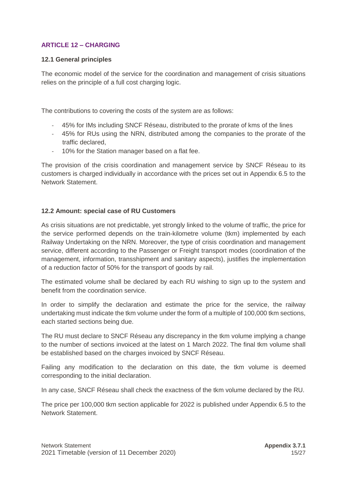## <span id="page-14-0"></span>**ARTICLE 12 – CHARGING**

#### **12.1 General principles**

The economic model of the service for the coordination and management of crisis situations relies on the principle of a full cost charging logic.

The contributions to covering the costs of the system are as follows:

- 45% for IMs including SNCF Réseau, distributed to the prorate of kms of the lines
- 45% for RUs using the NRN, distributed among the companies to the prorate of the traffic declared,
- 10% for the Station manager based on a flat fee.

The provision of the crisis coordination and management service by SNCF Réseau to its customers is charged individually in accordance with the prices set out in Appendix 6.5 to the Network Statement.

## **12.2 Amount: special case of RU Customers**

As crisis situations are not predictable, yet strongly linked to the volume of traffic, the price for the service performed depends on the train-kilometre volume (tkm) implemented by each Railway Undertaking on the NRN. Moreover, the type of crisis coordination and management service, different according to the Passenger or Freight transport modes (coordination of the management, information, transshipment and sanitary aspects), justifies the implementation of a reduction factor of 50% for the transport of goods by rail.

The estimated volume shall be declared by each RU wishing to sign up to the system and benefit from the coordination service.

In order to simplify the declaration and estimate the price for the service, the railway undertaking must indicate the tkm volume under the form of a multiple of 100,000 tkm sections, each started sections being due.

The RU must declare to SNCF Réseau any discrepancy in the tkm volume implying a change to the number of sections invoiced at the latest on 1 March 2022. The final tkm volume shall be established based on the charges invoiced by SNCF Réseau.

Failing any modification to the declaration on this date, the tkm volume is deemed corresponding to the initial declaration.

In any case, SNCF Réseau shall check the exactness of the tkm volume declared by the RU.

The price per 100,000 tkm section applicable for 2022 is published under Appendix 6.5 to the Network Statement.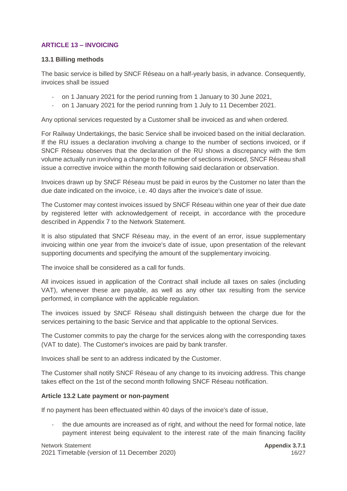## <span id="page-15-0"></span>**ARTICLE 13 – INVOICING**

#### **13.1 Billing methods**

The basic service is billed by SNCF Réseau on a half-yearly basis, in advance. Consequently, invoices shall be issued

- on 1 January 2021 for the period running from 1 January to 30 June 2021,
- on 1 January 2021 for the period running from 1 July to 11 December 2021.

Any optional services requested by a Customer shall be invoiced as and when ordered.

For Railway Undertakings, the basic Service shall be invoiced based on the initial declaration. If the RU issues a declaration involving a change to the number of sections invoiced, or if SNCF Réseau observes that the declaration of the RU shows a discrepancy with the tkm volume actually run involving a change to the number of sections invoiced, SNCF Réseau shall issue a corrective invoice within the month following said declaration or observation.

Invoices drawn up by SNCF Réseau must be paid in euros by the Customer no later than the due date indicated on the invoice, i.e. 40 days after the invoice's date of issue.

The Customer may contest invoices issued by SNCF Réseau within one year of their due date by registered letter with acknowledgement of receipt, in accordance with the procedure described in Appendix 7 to the Network Statement.

It is also stipulated that SNCF Réseau may, in the event of an error, issue supplementary invoicing within one year from the invoice's date of issue, upon presentation of the relevant supporting documents and specifying the amount of the supplementary invoicing.

The invoice shall be considered as a call for funds.

All invoices issued in application of the Contract shall include all taxes on sales (including VAT), whenever these are payable, as well as any other tax resulting from the service performed, in compliance with the applicable regulation.

The invoices issued by SNCF Réseau shall distinguish between the charge due for the services pertaining to the basic Service and that applicable to the optional Services.

The Customer commits to pay the charge for the services along with the corresponding taxes (VAT to date). The Customer's invoices are paid by bank transfer.

Invoices shall be sent to an address indicated by the Customer.

The Customer shall notify SNCF Réseau of any change to its invoicing address. This change takes effect on the 1st of the second month following SNCF Réseau notification.

#### **Article 13.2 Late payment or non-payment**

If no payment has been effectuated within 40 days of the invoice's date of issue,

the due amounts are increased as of right, and without the need for formal notice, late payment interest being equivalent to the interest rate of the main financing facility

Network Statement **Appendix 3.7.1** 2021 Timetable (version of 11 December 2020) 16/27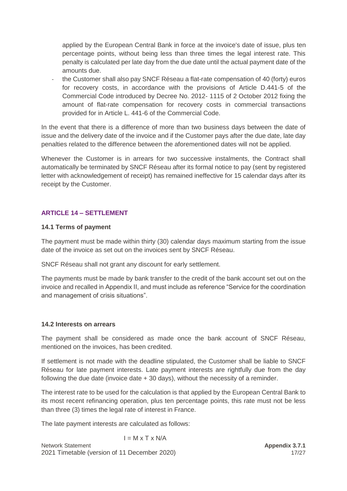applied by the European Central Bank in force at the invoice's date of issue, plus ten percentage points, without being less than three times the legal interest rate. This penalty is calculated per late day from the due date until the actual payment date of the amounts due.

the Customer shall also pay SNCF Réseau a flat-rate compensation of 40 (forty) euros for recovery costs, in accordance with the provisions of Article D.441-5 of the Commercial Code introduced by Decree No. 2012- 1115 of 2 October 2012 fixing the amount of flat-rate compensation for recovery costs in commercial transactions provided for in Article L. 441-6 of the Commercial Code.

In the event that there is a difference of more than two business days between the date of issue and the delivery date of the invoice and if the Customer pays after the due date, late day penalties related to the difference between the aforementioned dates will not be applied.

Whenever the Customer is in arrears for two successive instalments, the Contract shall automatically be terminated by SNCF Réseau after its formal notice to pay (sent by registered letter with acknowledgement of receipt) has remained ineffective for 15 calendar days after its receipt by the Customer.

## <span id="page-16-0"></span>**ARTICLE 14 – SETTLEMENT**

#### **14.1 Terms of payment**

The payment must be made within thirty (30) calendar days maximum starting from the issue date of the invoice as set out on the invoices sent by SNCF Réseau.

SNCF Réseau shall not grant any discount for early settlement.

The payments must be made by bank transfer to the credit of the bank account set out on the invoice and recalled in Appendix II, and must include as reference "Service for the coordination and management of crisis situations".

#### **14.2 Interests on arrears**

The payment shall be considered as made once the bank account of SNCF Réseau, mentioned on the invoices, has been credited.

If settlement is not made with the deadline stipulated, the Customer shall be liable to SNCF Réseau for late payment interests. Late payment interests are rightfully due from the day following the due date (invoice date + 30 days), without the necessity of a reminder.

The interest rate to be used for the calculation is that applied by the European Central Bank to its most recent refinancing operation, plus ten percentage points, this rate must not be less than three (3) times the legal rate of interest in France.

The late payment interests are calculated as follows:

$$
I = M \times T \times N/A
$$
  
Network Statement  
2021 Timetable (version of 11 December 2020)  
17/27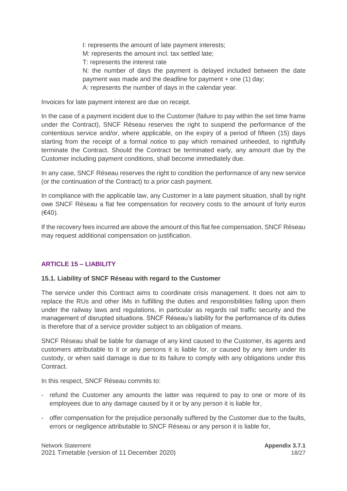I: represents the amount of late payment interests;

M: represents the amount incl. tax settled late;

T: represents the interest rate

N: the number of days the payment is delayed included between the date payment was made and the deadline for payment + one (1) day;

A: represents the number of days in the calendar year.

Invoices for late payment interest are due on receipt.

In the case of a payment incident due to the Customer (failure to pay within the set time frame under the Contract), SNCF Réseau reserves the right to suspend the performance of the contentious service and/or, where applicable, on the expiry of a period of fifteen (15) days starting from the receipt of a formal notice to pay which remained unheeded, to rightfully terminate the Contract. Should the Contract be terminated early, any amount due by the Customer including payment conditions, shall become immediately due.

In any case, SNCF Réseau reserves the right to condition the performance of any new service (or the continuation of the Contract) to a prior cash payment.

In compliance with the applicable law, any Customer in a late payment situation, shall by right owe SNCF Réseau a flat fee compensation for recovery costs to the amount of forty euros (€40).

If the recovery fees incurred are above the amount of this flat fee compensation, SNCF Réseau may request additional compensation on justification.

## <span id="page-17-0"></span>**ARTICLE 15 – LIABILITY**

## **15.1. Liability of SNCF Réseau with regard to the Customer**

The service under this Contract aims to coordinate crisis management. It does not aim to replace the RUs and other IMs in fulfilling the duties and responsibilities falling upon them under the railway laws and regulations, in particular as regards rail traffic security and the management of disrupted situations. SNCF Réseau's liability for the performance of its duties is therefore that of a service provider subject to an obligation of means.

SNCF Réseau shall be liable for damage of any kind caused to the Customer, its agents and customers attributable to it or any persons it is liable for, or caused by any item under its custody, or when said damage is due to its failure to comply with any obligations under this Contract.

In this respect, SNCF Réseau commits to:

- refund the Customer any amounts the latter was required to pay to one or more of its employees due to any damage caused by it or by any person it is liable for,
- offer compensation for the prejudice personally suffered by the Customer due to the faults, errors or negligence attributable to SNCF Réseau or any person it is liable for,

Network Statement **Appendix 3.7.1 Appendix 3.7.1 Appendix 3.7.1** 2021 Timetable (version of 11 December 2020) 18/27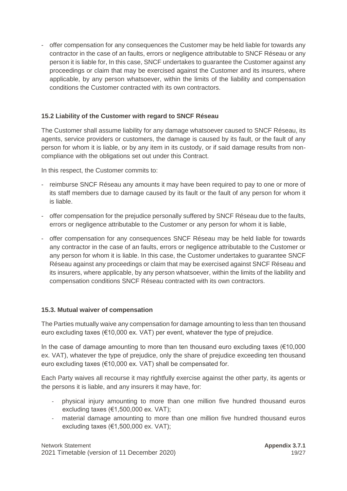- offer compensation for any consequences the Customer may be held liable for towards any contractor in the case of an faults, errors or negligence attributable to SNCF Réseau or any person it is liable for, In this case, SNCF undertakes to guarantee the Customer against any proceedings or claim that may be exercised against the Customer and its insurers, where applicable, by any person whatsoever, within the limits of the liability and compensation conditions the Customer contracted with its own contractors.

## **15.2 Liability of the Customer with regard to SNCF Réseau**

The Customer shall assume liability for any damage whatsoever caused to SNCF Réseau, its agents, service providers or customers, the damage is caused by its fault, or the fault of any person for whom it is liable, or by any item in its custody, or if said damage results from noncompliance with the obligations set out under this Contract.

In this respect, the Customer commits to:

- reimburse SNCF Réseau any amounts it may have been required to pay to one or more of its staff members due to damage caused by its fault or the fault of any person for whom it is liable.
- offer compensation for the prejudice personally suffered by SNCF Réseau due to the faults, errors or negligence attributable to the Customer or any person for whom it is liable,
- offer compensation for any consequences SNCF Réseau may be held liable for towards any contractor in the case of an faults, errors or negligence attributable to the Customer or any person for whom it is liable. In this case, the Customer undertakes to guarantee SNCF Réseau against any proceedings or claim that may be exercised against SNCF Réseau and its insurers, where applicable, by any person whatsoever, within the limits of the liability and compensation conditions SNCF Réseau contracted with its own contractors.

## **15.3. Mutual waiver of compensation**

The Parties mutually waive any compensation for damage amounting to less than ten thousand euro excluding taxes (€10,000 ex. VAT) per event, whatever the type of prejudice.

In the case of damage amounting to more than ten thousand euro excluding taxes  $(€10,000$ ex. VAT), whatever the type of prejudice, only the share of prejudice exceeding ten thousand euro excluding taxes (€10,000 ex. VAT) shall be compensated for.

Each Party waives all recourse it may rightfully exercise against the other party, its agents or the persons it is liable, and any insurers it may have, for:

- physical injury amounting to more than one million five hundred thousand euros excluding taxes  $(€1,500,000$  ex. VAT);
- material damage amounting to more than one million five hundred thousand euros excluding taxes  $(€1,500,000$  ex. VAT);

Network Statement **Appendix 3.7.1 Appendix 3.7.1** 2021 Timetable (version of 11 December 2020) 19/27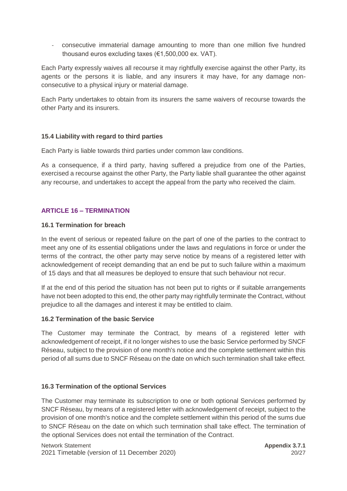- consecutive immaterial damage amounting to more than one million five hundred thousand euros excluding taxes (€1,500,000 ex. VAT).

Each Party expressly waives all recourse it may rightfully exercise against the other Party, its agents or the persons it is liable, and any insurers it may have, for any damage nonconsecutive to a physical injury or material damage.

Each Party undertakes to obtain from its insurers the same waivers of recourse towards the other Party and its insurers.

## **15.4 Liability with regard to third parties**

Each Party is liable towards third parties under common law conditions.

As a consequence, if a third party, having suffered a prejudice from one of the Parties, exercised a recourse against the other Party, the Party liable shall guarantee the other against any recourse, and undertakes to accept the appeal from the party who received the claim.

## <span id="page-19-0"></span>**ARTICLE 16 – TERMINATION**

#### **16.1 Termination for breach**

In the event of serious or repeated failure on the part of one of the parties to the contract to meet any one of its essential obligations under the laws and regulations in force or under the terms of the contract, the other party may serve notice by means of a registered letter with acknowledgement of receipt demanding that an end be put to such failure within a maximum of 15 days and that all measures be deployed to ensure that such behaviour not recur.

If at the end of this period the situation has not been put to rights or if suitable arrangements have not been adopted to this end, the other party may rightfully terminate the Contract, without prejudice to all the damages and interest it may be entitled to claim.

## **16.2 Termination of the basic Service**

The Customer may terminate the Contract, by means of a registered letter with acknowledgement of receipt, if it no longer wishes to use the basic Service performed by SNCF Réseau, subject to the provision of one month's notice and the complete settlement within this period of all sums due to SNCF Réseau on the date on which such termination shall take effect.

## **16.3 Termination of the optional Services**

The Customer may terminate its subscription to one or both optional Services performed by SNCF Réseau, by means of a registered letter with acknowledgement of receipt, subject to the provision of one month's notice and the complete settlement within this period of the sums due to SNCF Réseau on the date on which such termination shall take effect. The termination of the optional Services does not entail the termination of the Contract.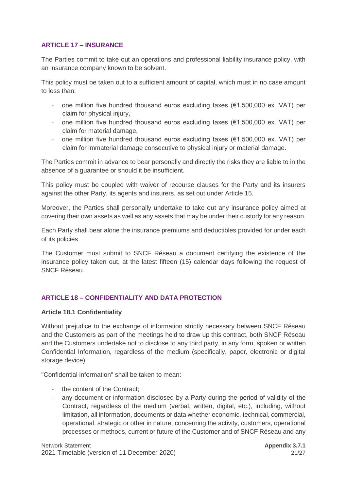## <span id="page-20-0"></span>**ARTICLE 17 – INSURANCE**

The Parties commit to take out an operations and professional liability insurance policy, with an insurance company known to be solvent.

This policy must be taken out to a sufficient amount of capital, which must in no case amount to less than:

- one million five hundred thousand euros excluding taxes (€1,500,000 ex. VAT) per claim for physical injury,
- one million five hundred thousand euros excluding taxes (€1,500,000 ex. VAT) per claim for material damage,
- one million five hundred thousand euros excluding taxes  $(\epsilon 1,500,000 \text{ ex. } VA)$  per claim for immaterial damage consecutive to physical injury or material damage.

The Parties commit in advance to bear personally and directly the risks they are liable to in the absence of a guarantee or should it be insufficient.

This policy must be coupled with waiver of recourse clauses for the Party and its insurers against the other Party, its agents and insurers, as set out under Article 15.

Moreover, the Parties shall personally undertake to take out any insurance policy aimed at covering their own assets as well as any assets that may be under their custody for any reason.

Each Party shall bear alone the insurance premiums and deductibles provided for under each of its policies.

The Customer must submit to SNCF Réseau a document certifying the existence of the insurance policy taken out, at the latest fifteen (15) calendar days following the request of SNCF Réseau.

## <span id="page-20-1"></span>**ARTICLE 18 – CONFIDENTIALITY AND DATA PROTECTION**

#### **Article 18.1 Confidentiality**

Without prejudice to the exchange of information strictly necessary between SNCF Réseau and the Customers as part of the meetings held to draw up this contract, both SNCF Réseau and the Customers undertake not to disclose to any third party, in any form, spoken or written Confidential Information, regardless of the medium (specifically, paper, electronic or digital storage device).

"Confidential information" shall be taken to mean:

- the content of the Contract;
- any document or information disclosed by a Party during the period of validity of the Contract, regardless of the medium (verbal, written, digital, etc.), including, without limitation, all information, documents or data whether economic, technical, commercial, operational, strategic or other in nature, concerning the activity, customers, operational processes or methods, current or future of the Customer and of SNCF Réseau and any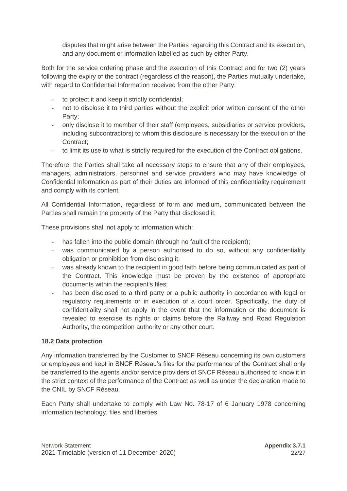disputes that might arise between the Parties regarding this Contract and its execution, and any document or information labelled as such by either Party.

Both for the service ordering phase and the execution of this Contract and for two (2) years following the expiry of the contract (regardless of the reason), the Parties mutually undertake, with regard to Confidential Information received from the other Party:

- to protect it and keep it strictly confidential;
- not to disclose it to third parties without the explicit prior written consent of the other Party;
- only disclose it to member of their staff (employees, subsidiaries or service providers, including subcontractors) to whom this disclosure is necessary for the execution of the Contract;
- to limit its use to what is strictly required for the execution of the Contract obligations.

Therefore, the Parties shall take all necessary steps to ensure that any of their employees, managers, administrators, personnel and service providers who may have knowledge of Confidential Information as part of their duties are informed of this confidentiality requirement and comply with its content.

All Confidential Information, regardless of form and medium, communicated between the Parties shall remain the property of the Party that disclosed it.

These provisions shall not apply to information which:

- has fallen into the public domain (through no fault of the recipient);
- was communicated by a person authorised to do so, without any confidentiality obligation or prohibition from disclosing it;
- was already known to the recipient in good faith before being communicated as part of the Contract. This knowledge must be proven by the existence of appropriate documents within the recipient's files;
- has been disclosed to a third party or a public authority in accordance with legal or regulatory requirements or in execution of a court order. Specifically, the duty of confidentiality shall not apply in the event that the information or the document is revealed to exercise its rights or claims before the Railway and Road Regulation Authority, the competition authority or any other court.

## **18.2 Data protection**

Any information transferred by the Customer to SNCF Réseau concerning its own customers or employees and kept in SNCF Réseau's files for the performance of the Contract shall only be transferred to the agents and/or service providers of SNCF Réseau authorised to know it in the strict context of the performance of the Contract as well as under the declaration made to the CNIL by SNCF Réseau.

Each Party shall undertake to comply with Law No. 78-17 of 6 January 1978 concerning information technology, files and liberties.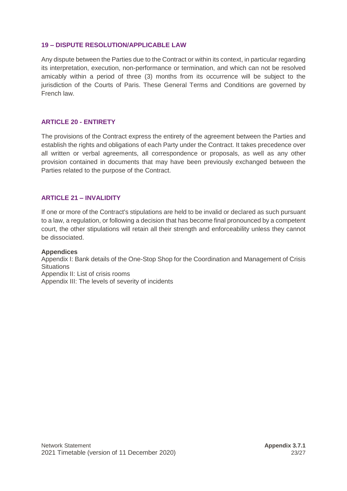#### <span id="page-22-0"></span>**19 – DISPUTE RESOLUTION/APPLICABLE LAW**

Any dispute between the Parties due to the Contract or within its context, in particular regarding its interpretation, execution, non-performance or termination, and which can not be resolved amicably within a period of three (3) months from its occurrence will be subject to the jurisdiction of the Courts of Paris. These General Terms and Conditions are governed by French law.

#### <span id="page-22-1"></span>**ARTICLE 20 - ENTIRETY**

The provisions of the Contract express the entirety of the agreement between the Parties and establish the rights and obligations of each Party under the Contract. It takes precedence over all written or verbal agreements, all correspondence or proposals, as well as any other provision contained in documents that may have been previously exchanged between the Parties related to the purpose of the Contract.

#### <span id="page-22-2"></span>**ARTICLE 21 – INVALIDITY**

If one or more of the Contract's stipulations are held to be invalid or declared as such pursuant to a law, a regulation, or following a decision that has become final pronounced by a competent court, the other stipulations will retain all their strength and enforceability unless they cannot be dissociated.

#### **Appendices**

Appendix I: Bank details of the One-Stop Shop for the Coordination and Management of Crisis **Situations** Appendix II: List of crisis rooms Appendix III: The levels of severity of incidents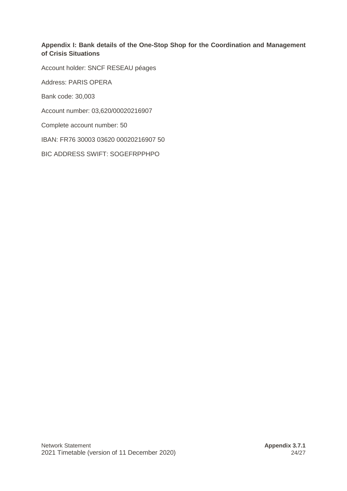## **Appendix I: Bank details of the One-Stop Shop for the Coordination and Management of Crisis Situations**

Account holder: SNCF RESEAU péages

Address: PARIS OPERA

Bank code: 30,003

Account number: 03,620/00020216907

Complete account number: 50

IBAN: FR76 30003 03620 00020216907 50

BIC ADDRESS SWIFT: SOGEFRPPHPO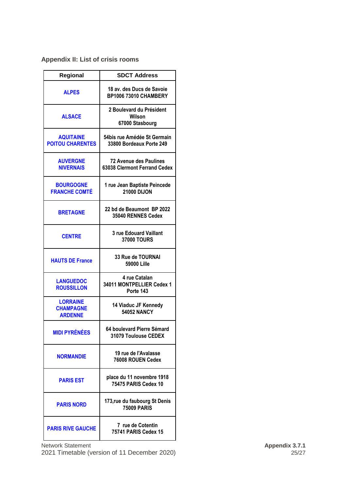## **Appendix II: List of crisis rooms**

| Regional                                              | <b>SDCT Address</b>                                           |  |
|-------------------------------------------------------|---------------------------------------------------------------|--|
| <b>ALPES</b>                                          | 18 av. des Ducs de Savoie<br><b>BP1006 73010 CHAMBERY</b>     |  |
| <b>ALSACE</b>                                         | 2 Boulevard du Président<br>Wilson<br>67000 Stasbourg         |  |
| <b>AQUITAINE</b><br><b>POITOU CHARENTES</b>           | 54bis rue Amédée St Germain<br>33800 Bordeaux Porte 249       |  |
| <b>AUVERGNE</b><br><b>NIVERNAIS</b>                   | <b>72 Avenue des Paulines</b><br>63038 Clermont Ferrand Cedex |  |
| <b>BOURGOGNE</b><br><b>FRANCHE COMTÉ</b>              | 1 rue Jean Baptiste Peincede<br><b>21000 DIJON</b>            |  |
| <b>BRETAGNE</b>                                       | 22 bd de Beaumont BP 2022<br>35040 RENNES Cedex               |  |
| <b>CENTRE</b>                                         | 3 rue Edouard Vaillant<br><b>37000 TOURS</b>                  |  |
| <b>HAUTS DE France</b>                                | <b>33 Rue de TOURNAI</b><br>59000 Lille                       |  |
| <b>LANGUEDOC</b><br><b>ROUSSILLON</b>                 | 4 rue Catalan<br>34011 MONTPELLIER Cedex 1<br>Porte 143       |  |
| <b>LORRAINE</b><br><b>CHAMPAGNE</b><br><b>ARDENNE</b> | 14 Viaduc JF Kennedy<br><b>54052 NANCY</b>                    |  |
| <b>MIDI PYRÉNÉES</b>                                  | 64 boulevard Pierre Sémard<br>31079 Toulouse CEDEX            |  |
| <b>NORMANDIE</b>                                      | 19 rue de l'Avalasse<br>76008 ROUEN Cedex                     |  |
| <b>PARIS EST</b>                                      | place du 11 novembre 1918<br>75475 PARIS Cedex 10             |  |
| <b>PARIS NORD</b>                                     | 173, rue du faubourg St Denis<br><b>75009 PARIS</b>           |  |
| <b>PARIS RIVE GAUCHE</b>                              | 7 rue de Cotentin<br>75741 PARIS Cedex 15                     |  |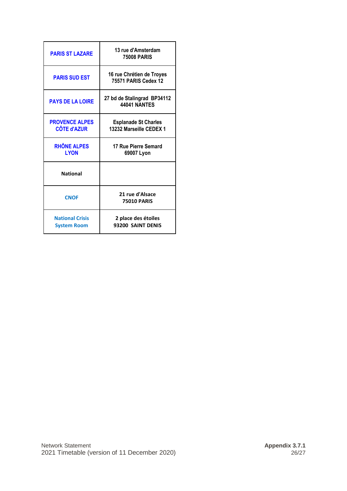| <b>PARIS ST LAZARE</b>                       | 13 rue d'Amsterdam<br><b>75008 PARIS</b>               |
|----------------------------------------------|--------------------------------------------------------|
| <b>PARIS SUD EST</b>                         | 16 rue Chrétien de Troyes<br>75571 PARIS Cedex 12      |
| <b>PAYS DE LA LOIRE</b>                      | 27 bd de Stalingrad BP34112<br><b>44041 NANTES</b>     |
| <b>PROVENCE ALPES</b><br><b>CÔTE d'AZUR</b>  | <b>Esplanade St Charles</b><br>13232 Marseille CEDEX 1 |
| <b>RHÔNE ALPES</b><br><b>LYON</b>            | 17 Rue Pierre Semard<br>69007 Lyon                     |
| <b>National</b>                              |                                                        |
| <b>CNOF</b>                                  | 21 rue d'Alsace<br><b>75010 PARIS</b>                  |
| <b>National Crisis</b><br><b>System Room</b> | 2 place des étoiles<br>93200 SAINT DENIS               |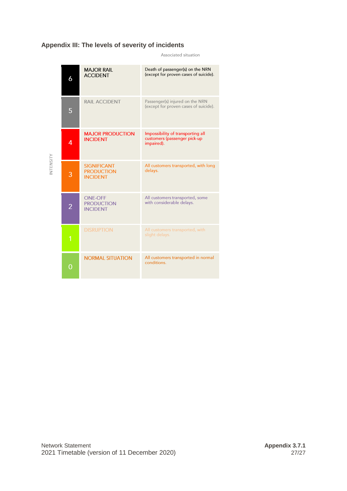## **Appendix III: The levels of severity of incidents**

Associated situation

|                  | 6              | <b>MAJOR RAIL</b><br><b>ACCIDENT</b>                       | Death of passenger(s) on the NRN<br>(except for proven cases of suicide).       |
|------------------|----------------|------------------------------------------------------------|---------------------------------------------------------------------------------|
|                  | 5              | <b>RAIL ACCIDENT</b>                                       | Passenger(s) injured on the NRN<br>(except for proven cases of suicide).        |
|                  | 4              | <b>MAJOR PRODUCTION</b><br><b>INCIDENT</b>                 | Impossibility of transporting all<br>customers (passenger pick-up<br>impaired). |
| <b>INTENSITY</b> | 3              | <b>SIGNIFICANT</b><br><b>PRODUCTION</b><br><b>INCIDENT</b> | All customers transported, with long<br>delays.                                 |
|                  | $\overline{2}$ | <b>ONE-OFF</b><br><b>PRODUCTION</b><br><b>INCIDENT</b>     | All customers transported, some<br>with considerable delays.                    |
|                  |                | <b>DISRUPTION</b>                                          | All customers transported, with<br>slight delays.                               |
|                  | Ω              | <b>NORMAL SITUATION</b>                                    | All customers transported in normal<br>conditions.                              |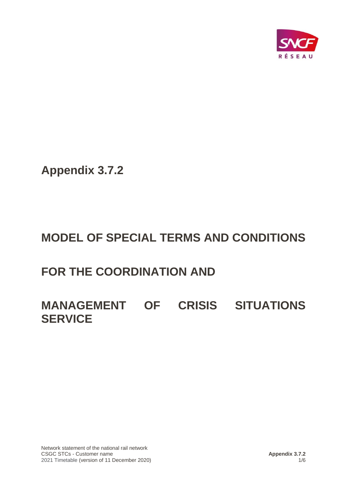

**Appendix 3.7.2**

# **MODEL OF SPECIAL TERMS AND CONDITIONS**

# **FOR THE COORDINATION AND**

# **MANAGEMENT OF CRISIS SITUATIONS SERVICE**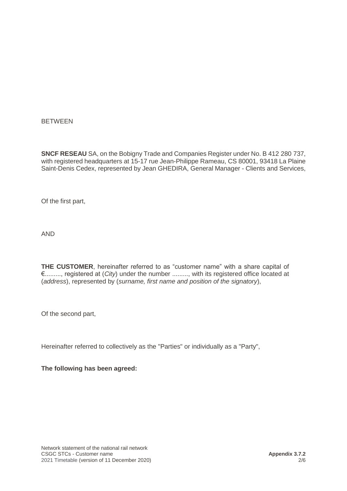#### BETWEEN

**SNCF RESEAU** SA, on the Bobigny Trade and Companies Register under No. B 412 280 737, with registered headquarters at 15-17 rue Jean-Philippe Rameau, CS 80001, 93418 La Plaine Saint-Denis Cedex, represented by Jean GHEDIRA, General Manager - Clients and Services,

Of the first part,

AND

**THE CUSTOMER**, hereinafter referred to as "customer name" with a share capital of €........., registered at (*City*) under the number ........., with its registered office located at (*address*), represented by (*surname, first name and position of the signatory*),

Of the second part,

Hereinafter referred to collectively as the "Parties" or individually as a "Party",

**The following has been agreed:**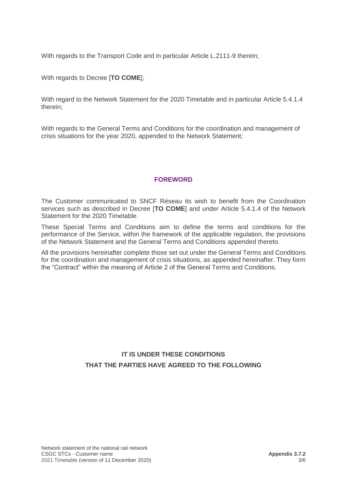With regards to the Transport Code and in particular Article L.2111-9 therein;

With regards to Decree [**TO COME**];

With regard to the Network Statement for the 2020 Timetable and in particular Article 5.4.1.4 therein;

With regards to the General Terms and Conditions for the coordination and management of crisis situations for the year 2020, appended to the Network Statement;

## **FOREWORD**

The Customer communicated to SNCF Réseau its wish to benefit from the Coordination services such as described in Decree [**TO COME**] and under Article 5.4.1.4 of the Network Statement for the 2020 Timetable.

These Special Terms and Conditions aim to define the terms and conditions for the performance of the Service, within the framework of the applicable regulation, the provisions of the Network Statement and the General Terms and Conditions appended thereto.

All the provisions hereinafter complete those set out under the General Terms and Conditions for the coordination and management of crisis situations, as appended hereinafter. They form the "Contract" within the meaning of Article 2 of the General Terms and Conditions.

## **IT IS UNDER THESE CONDITIONS THAT THE PARTIES HAVE AGREED TO THE FOLLOWING**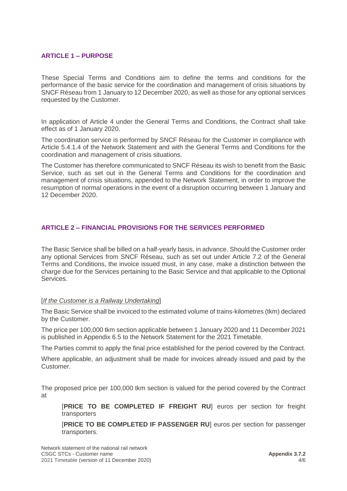## **ARTICLE 1 – PURPOSE**

These Special Terms and Conditions aim to define the terms and conditions for the performance of the basic service for the coordination and management of crisis situations by SNCF Réseau from 1 January to 12 December 2020, as well as those for any optional services requested by the Customer.

In application of Article 4 under the General Terms and Conditions, the Contract shall take effect as of 1 January 2020.

The coordination service is performed by SNCF Réseau for the Customer in compliance with Article 5.4.1.4 of the Network Statement and with the General Terms and Conditions for the coordination and management of crisis situations.

The Customer has therefore communicated to SNCF Réseau its wish to benefit from the Basic Service, such as set out in the General Terms and Conditions for the coordination and management of crisis situations, appended to the Network Statement, in order to improve the resumption of normal operations in the event of a disruption occurring between 1 January and 12 December 2020.

## **ARTICLE 2 – FINANCIAL PROVISIONS FOR THE SERVICES PERFORMED**

The Basic Service shall be billed on a half-yearly basis, in advance. Should the Customer order any optional Services from SNCF Réseau, such as set out under Article 7.2 of the General Terms and Conditions, the invoice issued must, in any case, make a distinction between the charge due for the Services pertaining to the Basic Service and that applicable to the Optional Services.

#### [*If the Customer is a Railway Undertaking*]

The Basic Service shall be invoiced to the estimated volume of trains-kilometres (tkm) declared by the Customer.

The price per 100,000 tkm section applicable between 1 January 2020 and 11 December 2021 is published in Appendix 6.5 to the Network Statement for the 2021 Timetable.

The Parties commit to apply the final price established for the period covered by the Contract.

Where applicable, an adjustment shall be made for invoices already issued and paid by the Customer.

The proposed price per 100,000 tkm section is valued for the period covered by the Contract at

[**PRICE TO BE COMPLETED IF FREIGHT RU**] euros per section for freight transporters

[**PRICE TO BE COMPLETED IF PASSENGER RU**] euros per section for passenger transporters.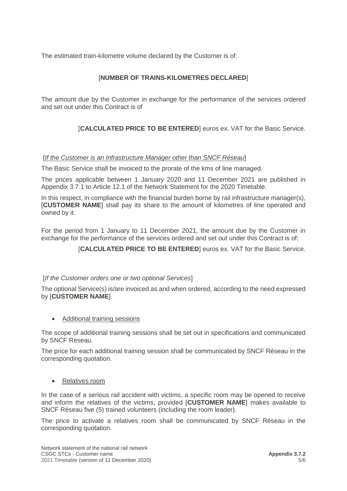The estimated train-kilometre volume declared by the Customer is of:

## [**NUMBER OF TRAINS-KILOMETRES DECLARED**]

The amount due by the Customer in exchange for the performance of the services ordered and set out under this Contract is of

[**CALCULATED PRICE TO BE ENTERED**] euros ex. VAT for the Basic Service.

#### [*If the Customer is an Infrastructure Manager other than SNCF Réseau*]

The Basic Service shall be invoiced to the prorate of the kms of line managed.

The prices applicable between 1 January 2020 and 11 December 2021 are published in Appendix 3.7.1 to Article 12.1 of the Network Statement for the 2020 Timetable.

In this respect, in compliance with the financial burden borne by rail infrastructure manager(s), [**CUSTOMER NAME**] shall pay its share to the amount of kilometres of line operated and owned by it.

For the period from 1 January to 11 December 2021, the amount due by the Customer in exchange for the performance of the services ordered and set out under this Contract is of:

[**CALCULATED PRICE TO BE ENTERED**] euros ex. VAT for the Basic Service.

## [*If the Customer orders one or two optional Services*]

The optional Service(s) is/are invoiced as and when ordered, according to the need expressed by [**CUSTOMER NAME**].

• Additional training sessions

The scope of additional training sessions shall be set out in specifications and communicated by SNCF Réseau.

The price for each additional training session shall be communicated by SNCF Réseau in the corresponding quotation.

#### • Relatives room

In the case of a serious rail accident with victims, a specific room may be opened to receive and inform the relatives of the victims, provided [**CUSTOMER NAME**] makes available to SNCF Réseau five (5) trained volunteers (including the room leader).

The price to activate a relatives room shall be communicated by SNCF Réseau in the corresponding quotation.